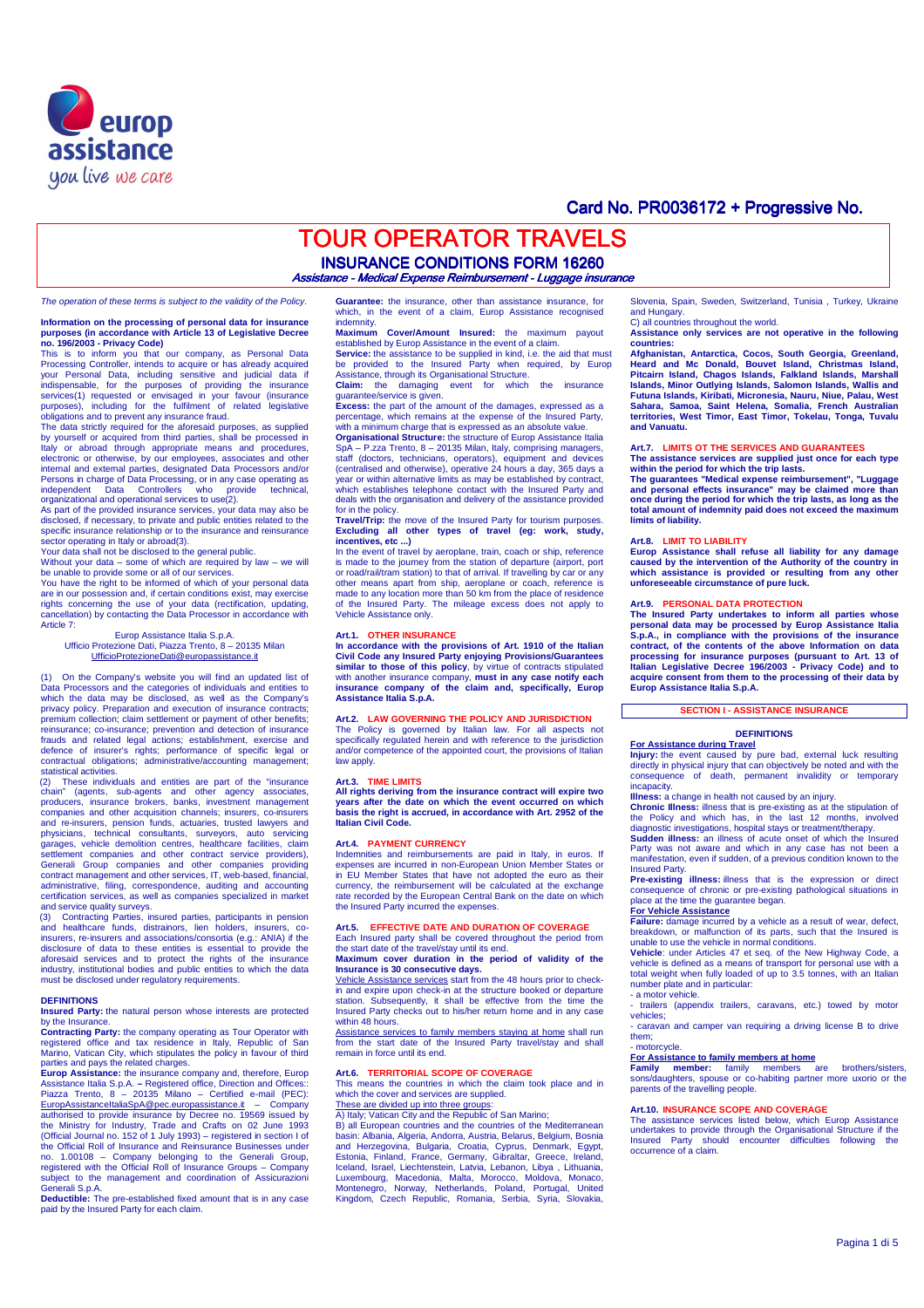

# Card No. PR0036172 + Progressive No.

# **TOUR OPERATOR TRAVELS INSURANCE CONDITIONS FORM 16260**

tance - Medical Expense Reimbursement - Luggage insurance

The operation of these terms is subject to the validity of the Policy.

# **Information on the processing of personal data for insurance purposes (in accordance with Article 13 of Legislative Decree no. 196/2003 - Privacy Code)**

This is to inform you that our company, as Personal Data Processing Controller, intends to acquire or has already acquired your Personal Data, including sensitive and judicial data if indispensable, for the purposes of providing the insurance services(1) requested or envisaged in your favour (insurance purposes), including for the fulfilment of related legislative

obligations and to prevent any insurance fraud. The data strictly required for the aforesaid purposes, as supplied by yourself or acquired from third parties, shall be processed in Italy or abroad through appropriate means and procedures, electronic or otherwise, by our employees, associates and other internal and external parties, designated Data Processors and/or<br>Persons in charge of Data Processing, or in any case operating as<br>independent Data Controllers who provide technical,<br>organizational and operational services

sector operating in Italy or abroad(3).

Your data shall not be disclosed to the general public. Without your data – some of which are required by law – we will

be unable to provide some or all of our services. You have the right to be informed of which of your personal data are in our possession and, if certain conditions exist, may exercise rights concerning the use of your data (rectification, updating, cancellation) by contacting the Data Processor in accordance with Article 7:

Europ Assistance Italia S.p.A. Ufficio Protezione Dati, Piazza Trento, 8 – 20135 Milan UfficioProtezioneDati@europassistance.it

(1) On the Company's website you will find an updated list of Data Processors and the categories of individuals and entities to which the data may be disclosed, as well as the Company's privacy policy. Preparation and execution of insurance contracts; premium collection; claim settlement or payment of other benefits; reinsurance; co-insurance; prevention and detection of insurance frauds and related legal actions; establishment, exercise and defence of insurer's rights; performance of specific legal or contractual obligations; administrative/accounting management; statistical activities

(2) These individuals and entities are part of the "insurance chain" (agents, sub-agents and other agency associates, producers, insurance brokers, banks, investment management companies and other acquisition channels; insurers, co-insurers and re-insurers, pension funds, actuaries, trusted lawyers and physicians, technical consultants, surveyors, auto servicing garages, vehicle demolition centres, healthcare facilities, claim<br>settlement companies and other contract service providers),<br>Generali Group companies and other companies providing<br>contract management and other services, I certification services, as well as companies specialized in market and service quality surveys.

(3) Contracting Parties, insured parties, participants in pension and healthcare funds, distrainors, lien holders, insurers, co-insurers, re-insurers and associations/consortia (e.g.: ANIA) if the disclosure of data to these entities is essential to provide the aforesaid services and to protect the rights of the insurance industry, institutional bodies and public entities to which the data must be disclosed under regulatory requirements.

### **DEFINITIONS**

**Insured Party:** the natural person whose interests are protected by the Insurance.

**Contracting Party:** the company operating as Tour Operator with registered office and tax residence in Italy, Republic of San Marino, Vatican City, which stipulates the policy in favour of third parties and pays the related charges.

**Europ Assistance:** the insurance company and, therefore, Europ<br>Assistance Italia S.p.A. – Registered office, Direction and Offices:<br>Piazza Trento, 8 – 20135 Milano – Certified e-mail (PEC):<br>EuropAssistanceItaliaSpA@pec.eu authorised to provide insurance by Decree no. 19569 issued by<br>the Ministry for Industry, Trade and Crafts on 02 June 1993<br>(Official Journal no. 152 of 1 July 1993) – registered in section 1 of<br>the Official Roll of Insuranc Generali S.p.A.

**Deductible:** The pre-established fixed amount that is in any case paid by the Insured Party for each claim.

**Guarantee:** the insurance, other than assistance insurance, for which, in the event of a claim, Europ Assistance recognised indemnity.

**Maximum Cover/Amount Insured:** the maximum payout established by Europ Assistance in the event of a claim.

**Service:** the assistance to be supplied in kind, i.e. the aid that must be provided to the Insured Party when required, by Europ Assistance, through its Organisational Structure. **Claim:** the damaging event for which the insurance

guarantee/service is given. **Excess:** the part of the amount of the damages, expressed as a

percentage, which remains at the expense of the Insured Party,

with a minimum charge that is expressed as an absolute value. **Organisational Structure:** the structure of Europ Assistance Italia SpA – P.zza Trento, 8 – 20135 Milan, Italy, comprising managers, staff (doctors, technicians, operators), equipment and devices (centralised and otherwise), operative 24 hours a day, 365 days a year or within alternative limits as may be established by contra which establishes telephone contact with the Insured Party and deals with the organisation and delivery of the assistance provided

for in the policy. **Travel/Trip:** the move of the Insured Party for tourism purposes. **Excluding all other types of travel (eg: work, study, incentives, etc ...)** 

In the event of travel by aeroplane, train, coach or ship, reference is made to the journey from the station of departure (airport, port or road/rail/tram station) to that of arrival. If travelling by car or any other means apart from ship, aeroplane or coach, reference is made to any location more than 50 km from the place of residence of the Insured Party. The mileage excess does not apply to Vehicle Assistance only.

## **Art.1. OTHER INSURANCE**

**In accordance with the provisions of Art. 1910 of the Italian Civil Code any Insured Party enjoying Provisions/Guarantees similar to those of this policy**, by virtue of contracts stipulated with another insurance company, **must in any case notify each insurance company of the claim and, specifically, Europ Assistance Italia S.p.A.** 

## **Art.2. LAW GOVERNING THE POLICY AND JURISDICTION**

The Policy is governed by Italian law. For all aspects not specifically regulated herein and with reference to the jurisdiction and/or competence of the appointed court, the provisions of Italian law apply.

### **Art.3. TIME LIMITS**

**All rights deriving from the insurance contract will expire two years after the date on which the event occurred on which basis the right is accrued, in accordance with Art. 2952 of the Italian Civil Code.** 

### **Art.4. PAYMENT CURRENCY**

Indemnities and reimbursements are paid in Italy, in euros. If expenses are incurred in non-European Union Member States or in EU Member States that have not adopted the euro as their currency, the reimbursement will be calculated at the exchange rate recorded by the European Central Bank on the date on which the Insured Party incurred the expenses.

## **Art.5. EFFECTIVE DATE AND DURATION OF COVERAGE**  Each Insured party shall be covered throughout the period from

the start date of the travel/stay until its end. **Maximum cover duration in the period of validity of the Insurance is 30 consecutive days.** 

Vehicle Assistance services start from the 48 hours prior to check-in and expire upon check-in at the structure booked or departure station. Subsequently, it shall be effective from the time the Insured Party checks out to his/her return home and in any case within 48 hours.

Assistance services to family members staying at home shall run from the start date of the Insured Party travel/stay and shall remain in force until its end.

**Art.6. TERRITORIAL SCOPE OF COVERAGE**  This means the countries in which the claim took place and in which the cover and services are supplied.

These are divided up into three groups:

A) Italy; Vatican City and the Republic of San Marino; B) all European countries and the countries of the Mediterranean basin: Albania, Algeria, Andorra, Austria, Belarus, Belgium, Bosnia and Herzegovina, Bulgaria, Croatia, Cyprus, Denmark, Egypt,<br>Estonia, Finland, France, Germany, Gibraltar, Greece, Ireland,<br>Iceland, Israel, Liechtenstein, Latvia, Lebanon, Libya, Lithuania,<br>Luxembourg, Moredonia, Malta, Mo Slovenia, Spain, Sweden, Switzerland, Tunisia , Turkey, Ukraine and Hungary. C) all countries throughout the world.

**Assistance only services are not operative in the following countries:** 

**Afghanistan, Antarctica, Cocos, South Georgia, Greenland, Heard and Mc Donald, Bouvet Island, Christmas Island, Pitcairn Island, Chagos Islands, Falkland Islands, Marshall Islands, Minor Outlying Islands, Salomon Islands, Wallis and Futuna Islands, Kiribati, Micronesia, Nauru, Niue, Palau, West Sahara, Samoa, Saint Helena, Somalia, French Australian territories, West Timor, East Timor, Tokelau, Tonga, Tuvalu and Vanuatu.** 

### **Art.7. LIMITS OT THE SERVICES AND GUARANTEES**

**The assistance services are supplied just once for each type within the period for which the trip lasts.** 

**The guarantees "Medical expense reimbursement", "Luggage and personal effects insurance" may be claimed more than once during the period for which the trip lasts, as long as the total amount of indemnity paid does not exceed the maximum limits of liability.** 

## **Art.8. LIMIT TO LIABILITY**

**Europ Assistance shall refuse all liability for any damage caused by the intervention of the Authority of the country in which assistance is provided or resulting from any other unforeseeable circumstance of pure luck.** 

**Art.9. PERSONAL DATA PROTECTION The Insured Party undertakes to inform all parties whose personal data may be processed by Europ Assistance Italia S.p.A., in compliance with the provisions of the insurance contract, of the contents of the above Information on data processing for insurance purposes (pursuant to Art. 13 of Italian Legislative Decree 196/2003 - Privacy Code) and to acquire consent from them to the processing of their data by Europ Assistance Italia S.p.A.** 

## **SECTION I - ASSISTANCE INSURANCE**

## **DEFINITIONS For Assistance during Travel**

**Injury:** the event caused by pure bad, external luck resulting directly in physical injury that can objectively be noted and with the consequence of death, permanent invalidity or temporary incapacity.

**Illness:** a change in health not caused by an injury.

**Chronic Illness:** illness that is pre-existing as at the stipulation of the Policy and which has, in the last 12 months, involved diagnostic investigations, hospital stays or treatment/therapy.

**Sudden illness:** an illness of acute onset of which the Insured Party was not aware and which in any case has not been a manifestation, even if sudden, of a previous condition known to the Insured Party.

**Pre-existing illness:** illness that is the expression or direct consequence of chronic or pre-existing pathological situations in place at the time the guarantee began.

# **For Vehicle Assistance**

**Failure:** damage incurred by a vehicle as a result of wear, defect,<br>breakdown, or malfunction of its parts, such that the Insured is<br>unable to use the vehicle in normal conditions.

**Vehicle**: under Articles 47 et seq. of the New Highway Code, a vehicle is defined as a means of transport for personal use with a total weight when fully loaded of up to 3.5 tonnes, with an Italian number plate and in particular:

### - a motor vehicle. - trailers (appendix trailers, caravans, etc.) towed by motor

vehicles; - caravan and camper van requiring a driving license B to drive

them; - motorcycle.

**For Assistance to family members at home Family member:** family members are brothers/sisters, sons/daughters, spouse or co-habiting partner more uxorio or the parents of the travelling people.

## **Art.10. INSURANCE SCOPE AND COVERAGE**

The assistance services listed below, which Europ Assistance undertakes to provide through the Organisational Structure if the Insured Party should encounter difficulties following the occurrence of a claim.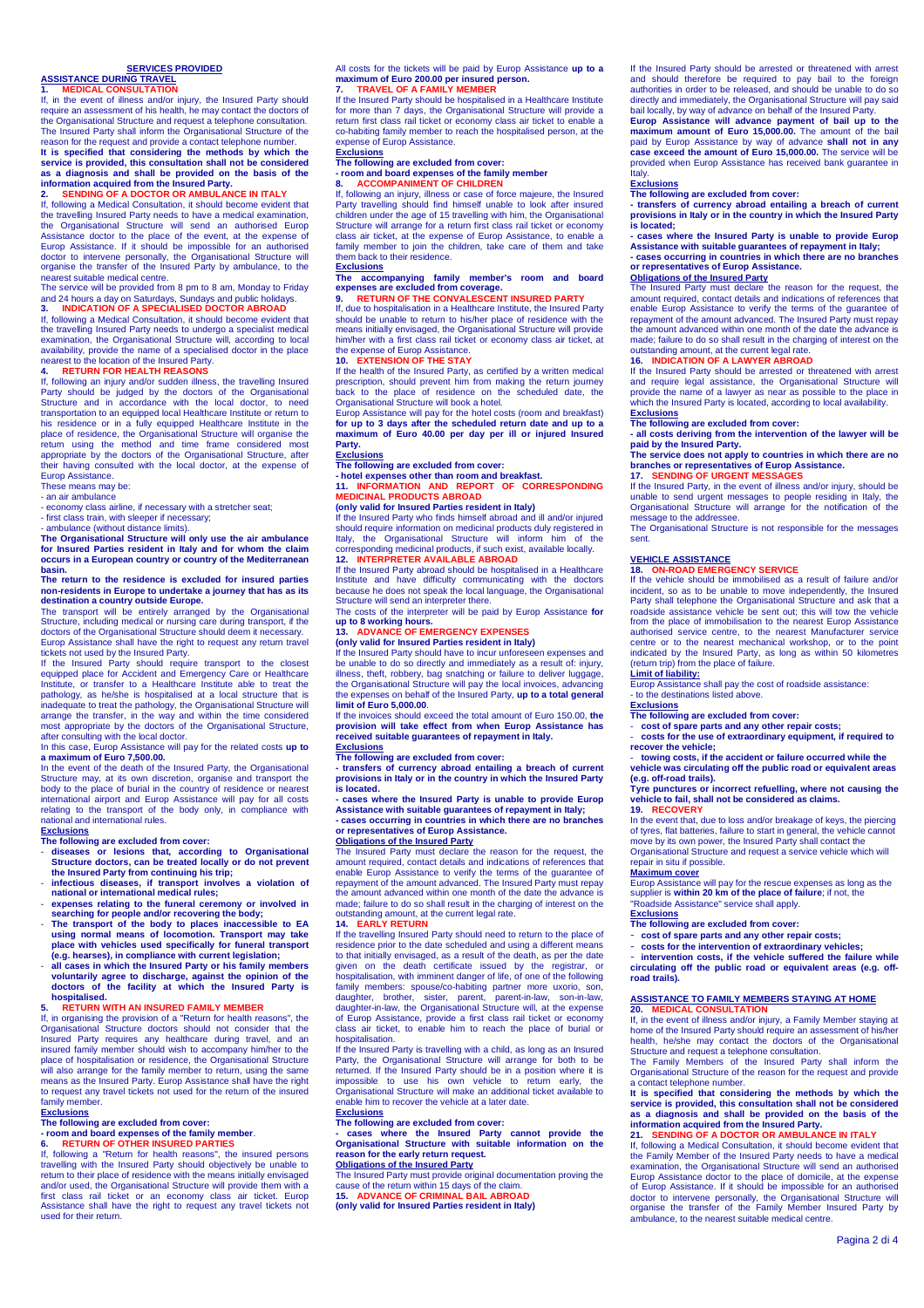# **SERVICES PROVIDED**

# **ASSISTANCE DURING TRAVEL**<br>1 **MEDICAL CONSULTATION**

**1. MEDICAL CONSULTATION** If, in the event of illness and/or injury, the Insured Party should require an assessment of his health, he may contact the doctors of the Organisational Structure and request a telephone consultation. The Insured Party shall inform the Organisational Structure of the

# reason for the request and provide a contact telephone number. **It is specified that considering the methods by which the service is provided, this consultation shall not be considered as a diagnosis and shall be provided on the basis of the information acquired from the Insured Party. 2. SENDING OF A DOCTOR OR AMBULANCE IN ITALY**

If, following a Medical Consultation, it should become evident that the travelling Insured Party needs to have a medical examination, the Organisational Structure will send an authorised Europ Assistance doctor to the place of the event, at the expense of Europ Assistance. If it should be impossible for an authorised doctor to intervene personally, the Organisational Structure will organise the transfer of the Insured Party by ambulance, to the nearest suitable medical centre.

The service will be provided from 8 pm to 8 am, Monday to Friday and 24 hours a day on Saturdays, Sundays and public holidays.<br>**3. INDICATION OF A SPECIALISED DOCTOR ABROAD**<br>If, following a Medical Consultation, it should become evident that

the travelling Insured Party needs to undergo a specialist medical examination, the Organisational Structure will, according to local availability, provide the name of a specialised doctor in the place

# nearest to the location of the Insured Party. **4. RETURN FOR HEALTH REASONS**

If, following an injury and/or sudden illness, the travelling Insured Party should be judged by the doctors of the Organisational Structure and in accordance with the local doctor, to need transportation to an equipped local Healthcare Institute or return to his residence or in a fully equipped Healthcare Institute in the place of residence, the Organisational Structure will organise the return using the method and time from appropriate observation poster appropriate by the do their having consulted with the local doctor, at the expense of Europ Assistance.

These means may be:

- an air ambulance - economy class airline, if necessary with a stretcher seat;

- first class train, with sleeper if necessary; - ambulance (without distance limits).

**The Organisational Structure will only use the air ambulance for Insured Parties resident in Italy and for whom the claim occurs in a European country or country of the Mediterranean basin.** 

## **The return to the residence is excluded for insured parties non-residents in Europe to undertake a journey that has as its destination a country outside Europe.**  The transport will be entirely arranged by the Organisational

Structure, including medical or nursing care during transport, if the doctors of the Organisational Structure should deem it necessary. Europ Assistance shall have the right to request any return travel

tickets not used by the Insured Party. If the Insured Party should require transport to the closest equipped place for Accident and Emergency Care or Healthcare Institute, or transfer to a Healthcare Institute able to treat the pathology, as he/she is hospitalised at a local structure that is<br>inadequate to treat the pathology, the Organisational Structure will<br>arrange the transfer, in the way and within the time considered<br>most appropriate by the after consulting with the local doctor.

In this case, Europ Assistance will pay for the related costs **up to a maximum of Euro 7,500.00.**  In the event of the death of the Insured Party, the Organisational

Structure may, at its own discretion, organise and transport the body to the place of burial in the country of residence or nearest international airport and Europ Assistance will pay for all costs relating to the transport of the body only, in compliance national and international rules. **Exclusions** 

# **The following are excluded from cover:**

- diseases or lesions that, according to Organisational **Structure doctors, can be treated locally or do not prevent the Insured Party from continuing his trip;**
- **infectious diseases, if transport involves a violation of national or international medical rules;**
- **expenses relating to the funeral ceremony or involved in searching for people and/or recovering the body;**
- **The transport of the body to places inaccessible to EA using normal means of locomotion. Transport may take place with vehicles used specifically for funeral transport**
- **(e.g. hearses), in compliance with current legislation;**<br> **(e.g. hearses), in compliance with current legislation;**<br> **all cases in which the Insured Party or his family members** - **all cases in which the Insured Party or his family members voluntarily agree to discharge, against the opinion of the doctors of the facility at which the Insured Party is hospitalised.**

## **5. RETURN WITH AN INSURED FAMILY MEMBER**

If, in organising the provision of a "Return for health reasons", the Organisational Structure doctors should not consider that the Insured Party requires any healthcare during travel, and an insured family member should wish to accompany him/her to the place of hospitalisation or residence, the Organisational Structure will also arrange for the family member to return, using the same means as the Insured Party. Europ Assistance shall have the right to request any travel tickets not used for the return of the insured family member.

### **Exclusions**

### **The following are excluded from cover:**

**- room and board expenses of the family member**. **6. RETURN OF OTHER INSURED PARTIES** 

If, following a "Return for health reasons", the insured persons travelling with the Insured Party should objectively be unable to return to their place of residence with the means initially envisaged and/or used, the Organisational Structure will provide them with a first class rail ticket or an economy class air ticket. Europ Assistance shall have the right to request any travel tickets not used for their return.

All costs for the tickets will be paid by Europ Assistance **up to a maximum of Euro 200.00 per insured person.**<br> **TRAVEL OF A FAMILY MEMBER 7. TRAVEL OF A FAMILY MEMBER** 

If the Insured Party should be hospitalised in a Healthcare Institute

for more than 7 days, the Organisational Structure will provide a return first class rail ticket or economy class air ticket to enable a co-habiting family member to reach the hospitalised person, at the expense of Europ Assistance.

# **Exclusions**

# **The following are excluded from cover: - room and board expenses of the family member 8. ACCOMPANIMENT OF CHILDREN**

If, following an injury, illness or case of force majeure, the Insured

Party travelling should find himself unable to look after insured children under the age of 15 travelling with him, the Organisational Structure will arrange for a return first class rail ticket or economy class air ticket, at the expense of Europ Assistance, to enable a family member to join the children, take care of them and take them back to their residence.

## **Exclusions**

# **The accompanying family member's room and board expenses are excluded from coverage. 9. RETURN OF THE CONVALESCENT INSURED PARTY**

If, due to hospitalisation in a Healthcare Institute, the Insured Party should be unable to return to his/her place of residence with the means initially envisaged, the Organisational Structure will provide him/her with a first class rail ticket or economy class air ticket, at the expense of Europ Assistance.<br>**10. EXTENSION OF THE STAY**<br>If the health of the Insured Party, as certified by a written medical

prescription, should prevent him from making the return journey back to the place of residence on the scheduled date, the Organisational Structure will book a hotel.

Europ Assistance will pay for the hotel costs (room and breakfast) **for up to 3 days after the scheduled return date and up to a maximum of Euro 40.00 per day per ill or injured Insured Party.** 

### **Exclusions**

**The following are excluded from cover:** 

**- hotel expenses other than room and breakfast. 11. INFORMATION AND REPORT OF CORRESPONDING** 

## **MEDICINAL PRODUCTS ABROAD**

## **(only valid for Insured Parties resident in Italy)**

If the Insured Party who finds himself abroad and ill and/or injured should require information on medicinal products duly registered in Italy, the Organisational Structure will inform him of the corresponding medicinal products, if such exist, available locally. **12. INTERPRETER AVAILABLE ABROAD** 

If the Insured Party abroad should be hospitalised in a Healthcare Institute and have difficulty communicating with the doctors because he does not speak the local language, the Organisational Structure will send an interpreter there.

The costs of the interpreter will be paid by Europ Assistance **for up to 8 working hours. 13. ADVANCE OF EMERGENCY EXPENSES** 

### **(only valid for Insured Parties resident in Italy)**

If the Insured Party should have to incur unforeseen expenses and be unable to do so directly and immediately as a result of: injury, illness, theft, robbery, bag snatching or failure to deliver luggage, the Organisational Structure will pay the local invoices, advancing the expenses on behalf of the Insured Party, **up to a total general limit of Euro 5,000.00**.

If the invoices should exceed the total amount of Euro 150.00, **the provision will take effect from when Europ Assistance has received suitable guarantees of repayment in Italy. Exclusions** 

### **The following are excluded from cover:**

**- transfers of currency abroad entailing a breach of current provisions in Italy or in the country in which the Insured Party is located.** 

**- cases where the Insured Party is unable to provide Europ** 

**Assistance with suitable guarantees of repayment in Italy; - cases occurring in countries in which there are no branches or representatives of Europ Assistance. Obligations of the Insured Party** 

The Insured Party must declare the reason for the request, the amount required, contact details and indications of references that enable Europ Assistance to verify the terms of the guarantee of repayment of the amount advanced. The Insured Party must repay the amount advanced within one month of the date the advance is made; failure to do so shall result in the charging of interest on the outstanding amount, at the current legal rate.<br>1**4. EARLY RETURN**<br>If the travelling Insured Party should need to return to the place of

residence prior to the date scheduled and using a different means to that initially envisaged, as a result of the death, as per the date given on the death certificate issued by the registrar, or hospitalisation, with imminent danger of life, of one of the following family members: spouse/co-habiting partner more uxorio, son, daughter, brother, sister, parent, parent-in-law, son-in-law, daughter-in-law, the Organisational Structure will, at the expense of Europ Assistance, provide a first class rail ticket or economy class air ticket, to enable him to reach the place of burial or hospitalisation.

If the Insured Party is travelling with a child, as long as an Insured Party, the Organisational Structure will arrange for both to be returned. If the Insured Party should be in a position where it is impossible to use his own vehicle to return early, the Incurrience in the maximum structure in a possible to use his own vehicle to return early, the Organisational Structure will make an additional ticket available to enable him to recover the vehicle at a later date.

### **Exclusions The following are excluded from cover:**

**- cases where the Insured Party cannot provide the Organisational Structure with suitable information on the reason for the early return request. Obligations of the Insured Party** 

# The Insured Party must provide original documentation proving the<br>cause of the return within 15 days of the claim.<br>**15. ADVANCE OF CRIMINAL BAIL ABROAD**

**(only valid for Insured Parties resident in Italy)** 

If the Insured Party should be arrested or threatened with arrest and should therefore be required to pay bail to the foreign authorities in order to be released, and should be unable to do so directly and immediately, the Organisational Structure will pay said bail locally, by way of advance on behalf of the Insured Party.

**Europ Assistance will advance payment of bail up to the maximum amount of Euro 15,000.00.** The amount of the bail paid by Europ Assistance by way of advance **shall not in any case exceed the amount of Euro 15,000.00.** The service will be provided when Europ Assistance has received bank guarantee in

# Italy. **Exclusions**

**The following are excluded from cover:** 

**- transfers of currency abroad entailing a breach of current provisions in Italy or in the country in which the Insured Party** 

**is located; - cases where the Insured Party is unable to provide Europ Assistance with suitable guarantees of repayment in Italy; - cases occurring in countries in which there are no branches or representatives of Europ Assistance.** 

**Obligations of the Insured Party**  The Insured Party must declare the reason for the request, the amount required, contact details and indications of references that enable Europ Assistance to verify the terms of the guarantee of repayment of the amount advanced. The Insured Party must repay the amount advanced within one month of the date the advance is made; failure to do so shall result in the charging of interest on the

# outstanding amount, at the current legal rate. **16. INDICATION OF A LAWYER ABROAD**

If the Insured Party should be arrested or threatened with arrest and require legal assistance, the Organisational Structure will provide the name of a lawyer as near as possible to the place in which the Insured Party is located, according to local availability. **Exclusions** 

The following are excluded from cover:<br>- all costs deriving from the intervention of the lawyer will be<br>paid by the Insured Party.<br>The service does not apply to countries in which there are no<br>branches or representatives o

If the Insured Party, in the event of illness and/or injury, should be unable to send urgent messages to people residing in Italy, the Organisational Structure will arrange for the notification of the message to the addressee

The Organisational Structure is not responsible for the messages sent.

# **VEHICLE ASSISTANCE**<br>18 **ON-ROAD EMERGENCY SERVICE**

**18. ON-ROAD EMERGENCY SERVICE**  If the vehicle should be immobilised as a result of failure and/or incident, so as to be unable to move independently, the Insured Party shall telephone the Organisational Structure and ask that a roadside assistance vehicle be sent out; this will tow the vehicle from the place of immobilisation to the nearest Europ Assistance authorised service centre, to the nearest Manufacturer service centre or to the nearest mechanical workshop, or to the point indicated by the Insured Party, as long as within 50 kilometres (return trip) from the place of failure.

**Limit of liability:** Europ Assistance shall pay the cost of roadside assistance:

- to the destinations listed above.

## **Exclusions**

**The following are excluded from cover:** 

"Roadside Assistance" service shall apply.

**The following are excluded from cover:** 

Structure and request a telephone consultation.

ambulance, to the nearest suitable medical centre.

- **cost of spare parts and any other repair costs;**  - **costs for the use of extraordinary equipment, if required to** 

**recover the vehicle;** 

# - **towing costs, if the accident or failure occurred while the vehicle was circulating off the public road or equivalent areas**

**(e.g. off-road trails). Tyre punctures or incorrect refuelling, where not causing the vehicle to fail, shall not be considered as claims. 19. RECOVERY** 

In the event that, due to loss and/or breakage of keys, the piercing of tyres, flat batteries, failure to start in general, the vehicle cannot move by its own power, the Insured Party shall contact the Organisational Structure and request a service vehicle which will ,<br>air in situ if possible.

Europ Assistance will pay for the rescue expenses as long as the supplier is **within 20 km of the place of failure**; if not, the

- **cost of spare parts and any other repair costs;**  - **costs for the intervention of extraordinary vehicles;**  intervention costs, if the vehicle suffered the failure while **circulating off the public road or equivalent areas (e.g. off-**

**ASSISTANCE TO FAMILY MEMBERS STAYING AT HOME 20. MEDICAL CONSULTATION**  If, in the event of illness and/or injury, a Family Member staying at home of the Insured Party should require an assessment of his/her health, he/she may contact the doctors of the Organisational

The Family Members of the Insured Party shall inform the Organisational Structure of the reason for the request and provide a contact telephone number. **It is specified that considering the methods by which the service is provided, this consultation shall not be considered as a diagnosis and shall be provided on the basis of the information acquired from the Insured Party. 21. SENDING OF A DOCTOR OR AMBULANCE IN ITALY**  If, following a Medical Consultation, it should become evident that the Family Member of the Insured Party needs to have a medical examination, the Organisational Structure will send an authorised Europ Assistance doctor to the place of domicile, at the expense of Europ Assistance. If it should be impossible for an authorised doctor to intervene personally, the Organisational Structure will organise the transfer of the Family Member Insured Party by

Pagina 2 di 4

# **Maximum cover**

**Exclusions** 

**road trails).**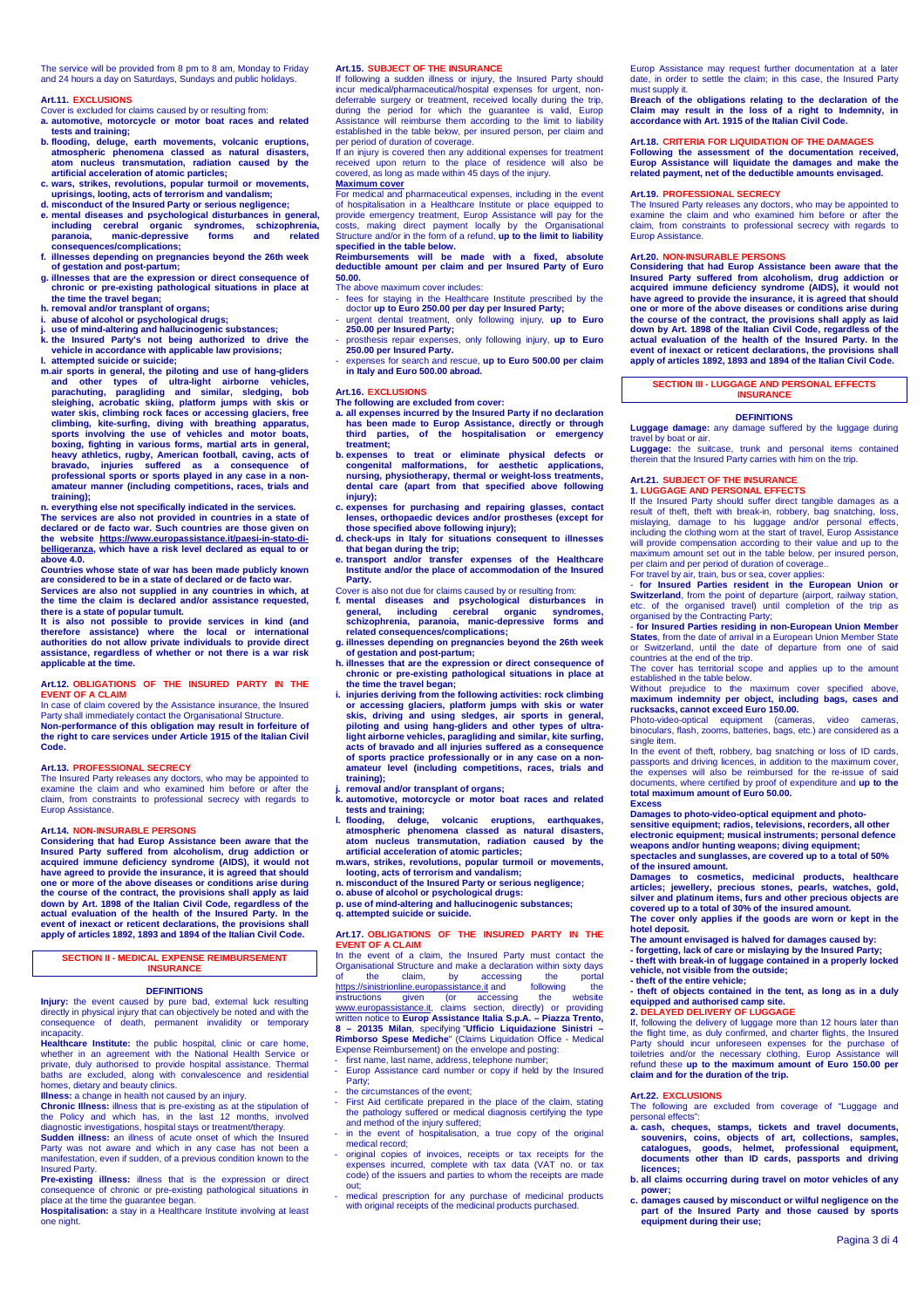The service will be provided from 8 pm to 8 am, Monday to Friday and 24 hours a day on Saturdays, Sundays and public holidays.

## **Art.11. EXCLUSIONS**

Cover is excluded for claims caused by or resulting from: **a. automotive, motorcycle or motor boat races and related** 

- **tests and training;**
- **b. flooding, deluge, earth movements, volcanic eruptions, atmospheric phenomena classed as natural disasters, atom nucleus transmutation, radiation caused by the artificial acceleration of atomic particles;**
- **c. wars, strikes, revolutions, popular turmoil or movements, uprisings, looting, acts of terrorism and vandalism;**
- 
- d. misconduct of the Insured Party or serious negligence;<br>e. mental diseases and psychological disturbances in general,<br>including cerebral organic syndromes, schizophrenia,<br>paranoia, manic-depressive forms and related **consequences/complications;**
- **f. illnesses depending on pregnancies beyond the 26th week of gestation and post-partum;**
- **g. illnesses that are the expression or direct consequence of chronic or pre-existing pathological situations in place at**
- 
- 
- the time the travel began;<br>h. removal and/or transplant of organs;<br>i. abuse of alcohol or psychological drugs;<br>j. use of mind-altering and hallucinogenic substances;<br>k. the Insured Party's not being authorized to drive the
- vehicle in accordance with applicable law provisions;<br>l. attempted suicido or suicide;<br>m.air sports in general, the piloting and use of hang-gliders<br>and other types of ultra-light airborne vehicles,<br>parachuting, paraglidin climbing, kite-surfing, diving with breathing apparatus, sports involving the use of vehicles and motor boats. **boxing, fighting in various forms, martial arts in general, heavy athletics, rugby, American football, caving, acts of bravado, injuries suffered as a consequence of professional sports or sports played in any case in a nonamateur manner (including competitions, races, trials and training);**

**n. everything else not specifically indicated in the services. The services are also not provided in countries in a state of declared or de facto war. Such countries are those given on** 

**the website https://www.europassistance.it/paesi-in-stato-di-belligeranza, which have a risk level declared as equal to or above 4.0.** 

**Countries whose state of war has been made publicly known are considered to be in a state of declared or de facto war. Services are also not supplied in any countries in which, at the time the claim is declared and/or assistance requested, there is a state of popular tumult.** 

**It is also not possible to provide services in kind (and therefore assistance) where the local or international authorities do not allow private individuals to provide direct assistance, regardless of whether or not there is a war risk applicable at the time.** 

### **Art.12. OBLIGATIONS OF THE INSURED PARTY IN THE EVENT OF A CLAIM**

In case of claim covered by the Assistance insurance, the Insured Party shall immediately contact the Organisational Structure.

**Non-performance of this obligation may result in forfeiture of the right to care services under Article 1915 of the Italian Civil Code.** 

## **Art.13. PROFESSIONAL SECRECY**

The Insured Party releases any doctors, who may be appointed to examine the claim and who examined him before or after the claim, from constraints to professional secrecy with regards to Europ Assistance.

### **Art.14. NON-INSURABLE PERSONS**

**Considering that had Europ Assistance been aware that the Insured Party suffered from alcoholism, drug addiction or acquired immune deficiency syndrome (AIDS), it would not have agreed to provide the insurance, it is agreed that should one or more of the above diseases or conditions arise during the course of the contract, the provisions shall apply as laid down by Art. 1898 of the Italian Civil Code, regardless of the actual evaluation of the health of the Insured Party. In the event of inexact or reticent declarations, the provisions shall apply of articles 1892, 1893 and 1894 of the Italian Civil Code.** 

### **SECTION II - MEDICAL EXPENSE REIMBURSEMENT INSURANCE**

### **DEFINITIONS**

**Injury:** the event caused by pure bad, external luck resulting directly in physical injury that can objectively be noted and with the consequence of death, permanent invalidity or temporary incapacity.

**Healthcare Institute:** the public hospital, clinic or care home, whether in an agreement with the National Health Service or private, duly authorised to provide hospital assistance. Thermal baths are excluded, along with convalescence and residential homes, dietary and beauty clinics.

**Illness:** a change in health not caused by an injury.

**Chronic Illness:** illness that is pre-existing as at the stipulation of the Policy and which has, in the last 12 months, involved

diagnostic investigations, hospital stays or treatment/therapy.<br>**Sudden illness:** an illness of acute onset of which the Insured<br>Party was not aware and which in any case has not been a manifestation, even if sudden, of a previous condition known to the Insured Party. **Pre-existing illness:** illness that is the expression or direct

consequence of chronic or pre-existing pathological situations in place at the time the guarantee began.

**Hospitalisation:** a stay in a Healthcare Institute involving at least one night.

# **Art.15. SUBJECT OF THE INSURANCE**

If following a sudden illness or injury, the Insured Party should incur medical/pharmaceutical/hospital expenses for urgent, non-deferrable surgery or treatment, received locally during the trip, during the period for which the guarantee is valid, Europ<br>Assistance will reimburse them according to the limit to liability will reimburse them according to the limit to liabilit established in the table below, per insured person, per claim and

per period of duration of coverage. If an injury is covered then any additional expenses for treatment received upon return to the place of residence will also be covered, as long as made within 45 days of the injury. **Maximum cover** 

For medical and pharmaceutical expenses, including in the event

of hospitalisation in a Healthcare Institute or place equipped to provide emergency treatment, Europ Assistance will pay for the costs, making direct payment locally by the Organisational Structure and/or in the form of a refund, **up to the limit to liability** 

**specified in the table below. Reimbursements will be made with a fixed, absolute deductible amount per claim and per Insured Party of Euro 50.00.**

- The above maximum cover includes:
- fees for staying in the Healthcare Institute prescribed by the
- doctor **up to Euro 250.00 per day per Insured Party;**  urgent dental treatment, only following injury, **up to Euro**
- **250.00 per Insured Party;**  prosthesis repair expenses, only following injury, **up to Euro**
- **250.00 per Insured Party.**  expenses for search and rescue, **up to Euro 500.00 per claim in Italy and Euro 500.00 abroad.**

## **Art.16. EXCLUSIONS**

**The following are excluded from cover: a. all expenses incurred by the Insured Party if no declaration** 

- **has been made to Europ Assistance, directly or through third parties, of the hospitalisation or emergency treatment;**
- **b. expenses to treat or eliminate physical defects or congenital malformations, for aesthetic applications, nursing, physiotherapy, thermal or weight-loss treatments, dental care (apart from that specified above following injury);**
- **c. expenses for purchasing and repairing glasses, contact lenses, orthopaedic devices and/or prostheses (except for those specified above following injury);**
- **d. check-ups in Italy for situations consequent to illnesses**
- **that began during the trip; e. transport and/or transfer expenses of the Healthcare Institute and/or the place of accommodation of the Insured**
- **Party.**  Cover is also not due for claims caused by or resulting from:
- **f. mental diseases and psychological disturbances in general, including cerebral organic syndromes, schizophrenia, paranoia, manic-depressive forms and related consequences/complications;**
- **g. illnesses depending on pregnancies beyond the 26th week of gestation and post-partum; h. illnesses that are the expression or direct consequence of**
- **chronic or pre-existing pathological situations in place at the time the travel began;**
- **i. injuries deriving from the following activities: rock climbing or accessing glaciers, platform jumps with skis or water skis, driving and using sledges, air sports in general, piloting and using hang-gliders and other types of ultra-light airborne vehicles, paragliding and similar, kite surfing, acts of bravado and all injuries suffered as a consequence of sports practice professionally or in any case on a nonamateur level (including competitions, races, trials and training);**
- **j. removal and/or transplant of organs; k. automotive, motorcycle or motor boat races and related tests and training;**
- **l. flooding, deluge, volcanic eruptions, earthquakes, atmospheric phenomena classed as natural disasters, atom nucleus transmutation, radiation caused by the artificial acceleration of atomic particles;**
- **m. wars, strikes, revolutions, popular turmoil or movements, looting, acts of terrorism and vandalism;**
- **n. misconduct of the Insured Party or serious negligence; o. abuse of alcohol or psychological drugs:**
- 
- **p. use of mind-altering and hallucinogenic substances; q. attempted suicide or suicide.**

### **Art.17. OBLIGATIONS OF THE INSURED PARTY IN THE EVENT OF A CLAIM**

In the event of a claim, the Insured Party must contact the Organisational Structure and make a declaration within sixty days of the claim, by accessing the portal https://sinistrionline.europassistance.it and following the instructions given (or accessing the website<br>www.europassistance.it, claims section, directly) or providing written notice to **Europ Assistance Italia S.p.A. – Piazza Trento, 8 – 20135 Milan**, specifying "**Ufficio Liquidazione Sinistri – Rimborso Spese Mediche**" (Claims Liquidation Office - Medical Expense Reimbursement) on the envelope and posting:

- first name, last name, address, telephone number; Europ Assistance card number or copy if held by the Insured Party;
- the circumstances of the event:
- First Aid certificate prepared in the place of the claim, stating the pathology suffered or medical diagnosis certifying the type
- and method of the injury suffered; in the event of hospitalisation, a true copy of the original
- medical record; - original copies of invoices, receipts or tax receipts for the expenses incurred, complete with tax data (VAT no. or tax code) of the issuers and parties to whom the receipts are made
- $\overline{\text{out}}$ out,<br>medical prescription for any purchase of medicinal products with original receipts of the medicinal products purchased

Europ Assistance may request further documentation at a later date, in order to settle the claim; in this case, the Insured Party must supply it.

**Breach of the obligations relating to the declaration of the Claim may result in the loss of a right to Indemnity, in accordance with Art. 1915 of the Italian Civil Code.** 

### **Art.18. CRITERIA FOR LIQUIDATION OF THE DAMAGES**

**Following the assessment of the documentation received, Europ Assistance will liquidate the damages and make the red payment, net of the deductible amounts envisaged.** 

### **Art.19. PROFESSIONAL SECRECY**

The Insured Party releases any doctors, who may be appointed to examine the claim and who examined him before or after the claim, from constraints to professional secrecy with regards to Europ Assistance.

### **Art.20. NON-INSURABLE PERSONS**

**Considering that had Europ Assistance been aware that the Insured Party suffered from alcoholism, drug addiction or acquired immune deficiency syndrome (AIDS), it would not have agreed to provide the insurance, it is agreed that should one or more of the above diseases or conditions arise during the course of the contract, the provisions shall apply as laid down by Art. 1898 of the Italian Civil Code, regardless of the actual evaluation of the health of the Insured Party. In the event of inexact or reticent declarations, the provisions shall apply of articles 1892, 1893 and 1894 of the Italian Civil Code.** 

### **SECTION III - LUGGAGE AND PERSONAL EFFECTS INSURANCE**

### **DEFINITIONS**

**Luggage damage:** any damage suffered by the luggage during travel by boat or air. **Luggage:** the suitcase, trunk and personal items contained

therein that the Insured Party carries with him on the trip.

### **Art.21. SUBJECT OF THE INSURANCE 1. LUGGAGE AND PERSONAL EFFECTS**

If the Insured Party should suffer direct tangible damages as a result of theft, theft with break-in, robbery, bag snatching, loss, mislaying, damage to his luggage and/or personal effects, including the clothing worn at the start of travel, Europ Assistance will provide compensation according to their value and up to the maximum amount set out in the table below, per insured person, per claim and per period of duration of coverage..

For travel by air, train, bus or sea, cover applies

- **for Insured Parties resident in the European Union or Switzerland**, from the point of departure (airport, railway station, etc. of the organised travel) until completion of the trip as organised by the Contracting Party;

for Insured Parties residing in non-European Union Member **States**, from the date of arrival in a European Union Member State or Switzerland, until the date of departure from one of said

countries at the end of the trip. The cover has territorial scope and applies up to the amount

established in the table below.<br>Without prejudice to the v.<br>maximum cover specified above, **maximum indemnity per object, including bags, cases and rucksacks, cannot exceed Euro 150.00.** 

Photo-video-optical equipment (cameras, video cameras, binoculars, flash, zooms, batteries, bags, etc.) are considered as a single item.

In the event of theft, robbery, bag snatching or loss of ID cards, passports and driving licences, in addition to the maximum cover, the expenses will also be reimbursed for the re-issue of said documents, where certified by proof of expenditure and **up to the total maximum amount of Euro 50.00. Excess** 

**Damages to photo-video-optical equipment and photo-sensitive equipment; radios, televisions, recorders, all other electronic equipment; musical instruments; personal defence weapons and/or hunting weapons; diving equipment; spectacles and sunglasses, are covered up to a total of 50%** 

**of the insured amount. Damages to cosmetics, medicinal products, healthcare articles; jewellery, precious stones, pearls, watches, gold, silver and platinum items, furs and other precious objects are covered up to a total of 30% of the insured amount. The cover only applies if the goods are worn or kept in the hotel deposit.** 

**The amount envisaged is halved for damages caused by:** 

**- forgetting, lack of care or mislaying by the Insured Party; - theft with break-in of luggage contained in a properly locked vehicle, not visible from the outside; - theft of the entire vehicle;** 

# **- theft of objects contained in the tent, as long as in a duly equipped and authorised camp site. 2. DELAYED DELIVERY OF LUGGAGE**

If, following the delivery of luggage more than 12 hours later than the flight time, as duly confirmed, and charter flights, the Insured Party should incur unforeseen expenses for the purchase of toiletries and/or the necessary clothing, Europ Assistance will refund these **up to the maximum amount of Euro 150.00 per** 

The following are excluded from coverage of "Luggage and personal effects": **a. cash, cheques, stamps, tickets and travel documents, souvenirs, coins, objects of art, collections, samples, catalogues, goods, helmet, professional equipment, documents other than ID cards, passports and driving** 

**b. all claims occurring during travel on motor vehicles of any power; c. damages caused by misconduct or wilful negligence on the part of the Insured Party and those caused by sports equipment during their use;** 

**claim and for the duration of the trip.** 

**Art.22. EXCLUSIONS** 

**licences;** 

Pagina 3 di 4